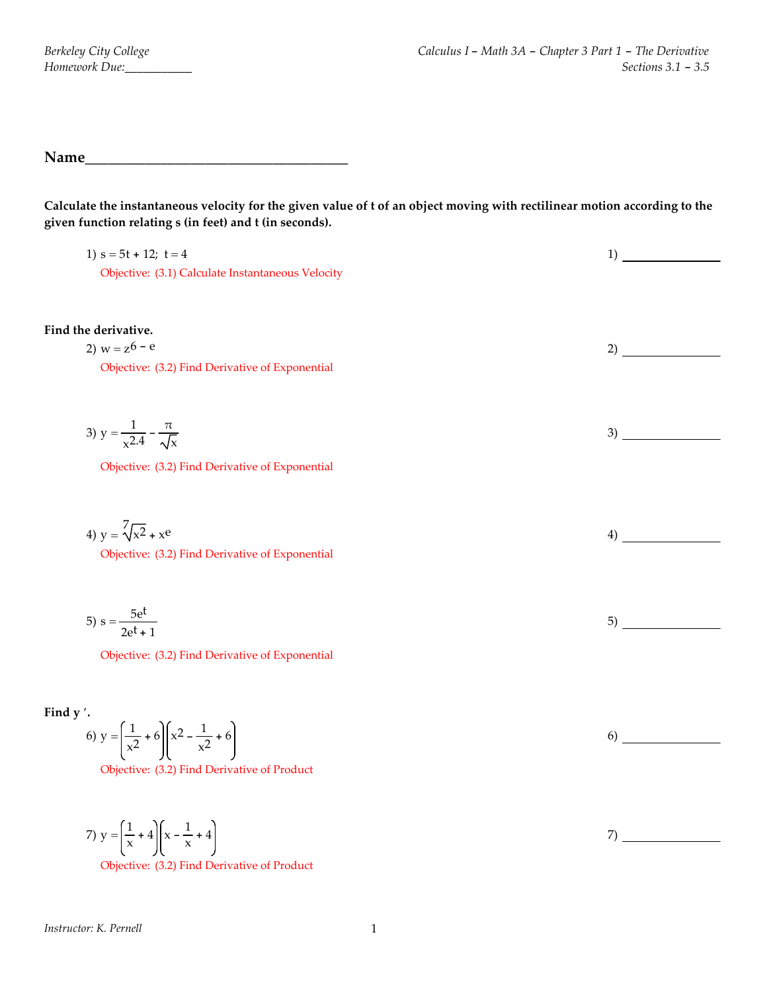**Name\_\_\_\_\_\_\_\_\_\_\_\_\_\_\_\_\_\_\_\_\_\_\_\_\_\_\_\_\_\_\_\_\_\_\_**

Calculate the instantaneous velocity for the given value of t of an object moving with rectilinear motion according to the **given function relating s (in feet) and t (in seconds).**

| 1) $s = 5t + 12$ ; $t = 4$<br>Objective: (3.1) Calculate Instantaneous Velocity                                                         | 1) |
|-----------------------------------------------------------------------------------------------------------------------------------------|----|
| Find the derivative.<br>2) $w = z^6 - e$<br>Objective: (3.2) Find Derivative of Exponential                                             | 2) |
| 3) $y = \frac{1}{x^2-4} - \frac{\pi}{\sqrt{x}}$<br>Objective: (3.2) Find Derivative of Exponential                                      | 3) |
| 4) $y = \sqrt[7]{x^2} + x^e$<br>Objective: (3.2) Find Derivative of Exponential                                                         | 4) |
| 5) $s = \frac{5e^t}{2e^t + 1}$<br>Objective: (3.2) Find Derivative of Exponential                                                       | 5) |
| Find y'.<br>6) $y = \left(\frac{1}{x^2} + 6\right) \left(x^2 - \frac{1}{x^2} + 6\right)$<br>Objective: (3.2) Find Derivative of Product | 6) |
| 7) $y = \left(\frac{1}{x} + 4\right) \left(x - \frac{1}{x} + 4\right)$                                                                  | 7) |

Objective: (3.2) Find Derivative of Product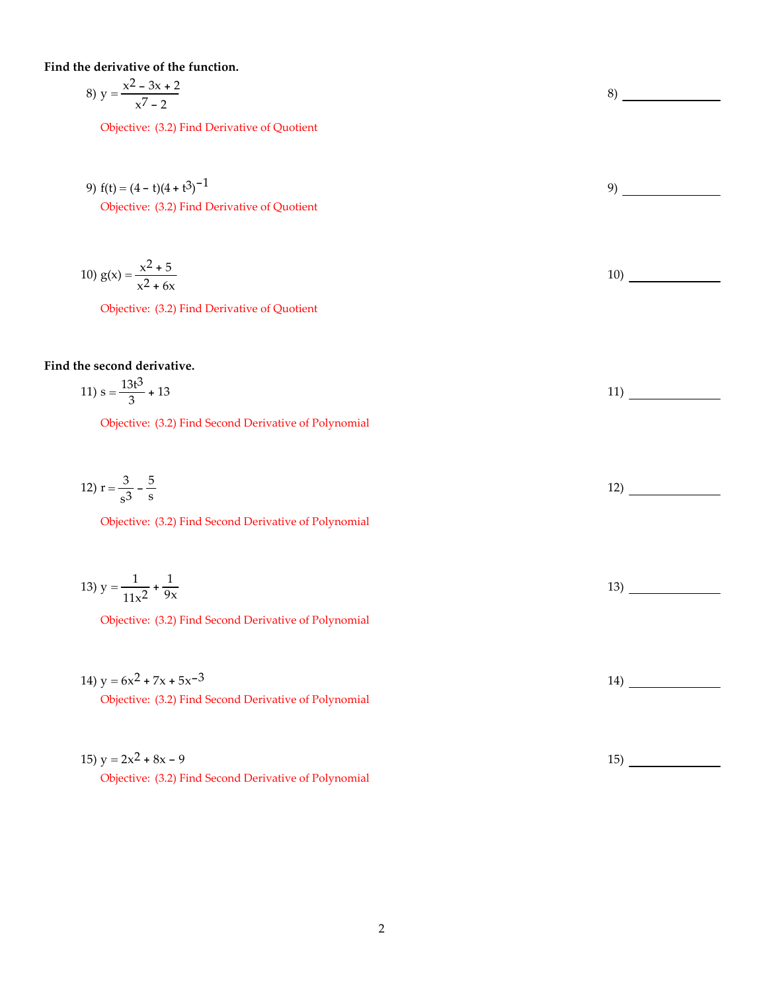**Find the derivative of the function.**

8) 
$$
y = \frac{x^2 - 3x + 2}{x^7 - 2}
$$

Objective: (3.2) Find Derivative of Quotient

9) 
$$
f(t) = (4 - t)(4 + t^3)^{-1}
$$
  
Objective: (3.2) Find Derivative of Quotient

10) 
$$
g(x) = \frac{x^2 + 5}{x^2 + 6x}
$$

Objective: (3.2) Find Derivative of Quotient

## **Find the second derivative.**

$$
11) s = \frac{13t^3}{3} + 13
$$

Objective: (3.2) Find Second Derivative of Polynomial

12) 
$$
r = \frac{3}{s^3} - \frac{5}{s}
$$

Objective: (3.2) Find Second Derivative of Polynomial

$$
13) y = \frac{1}{11x^2} + \frac{1}{9x}
$$

Objective: (3.2) Find Second Derivative of Polynomial

14) 
$$
y = 6x^2 + 7x + 5x^{-3}
$$

Objective: (3.2) Find Second Derivative of Polynomial

| 15) $y = 2x^2 + 8x - 9$                               |  |
|-------------------------------------------------------|--|
| Objective: (3.2) Find Second Derivative of Polynomial |  |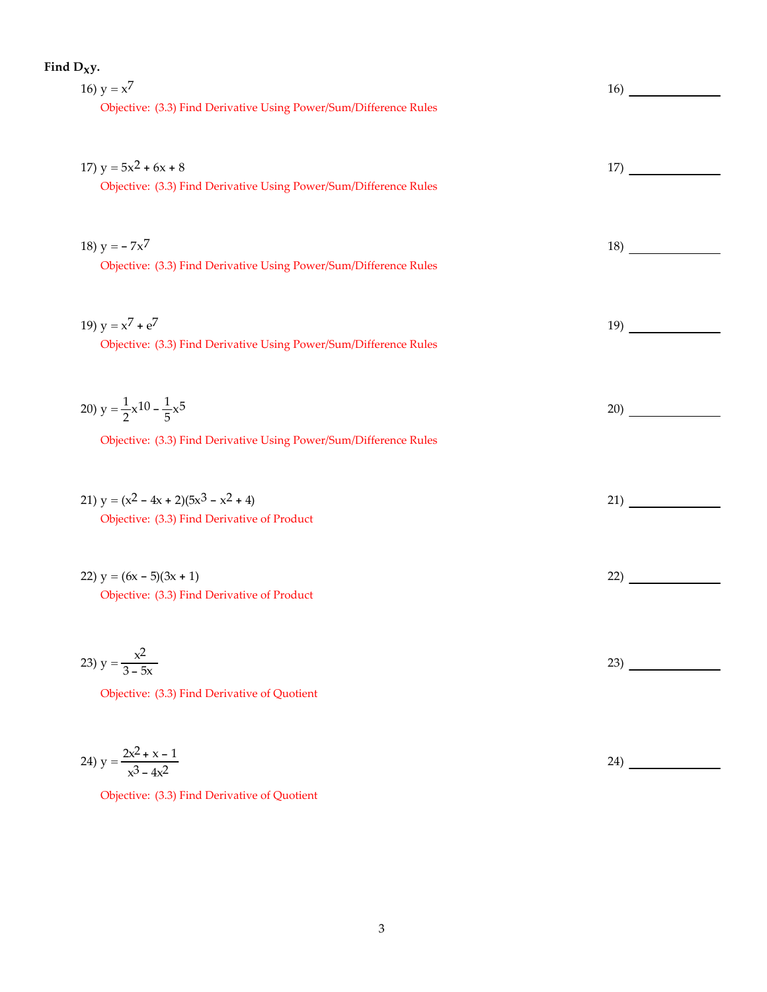| Find $D_Xy$ .                                                     |                                                                                                                                                                                                                                    |
|-------------------------------------------------------------------|------------------------------------------------------------------------------------------------------------------------------------------------------------------------------------------------------------------------------------|
| 16) $y = x^7$                                                     | 16) (a)                                                                                                                                                                                                                            |
| Objective: (3.3) Find Derivative Using Power/Sum/Difference Rules |                                                                                                                                                                                                                                    |
|                                                                   |                                                                                                                                                                                                                                    |
|                                                                   |                                                                                                                                                                                                                                    |
| 17) $y = 5x^2 + 6x + 8$                                           | 17)                                                                                                                                                                                                                                |
| Objective: (3.3) Find Derivative Using Power/Sum/Difference Rules |                                                                                                                                                                                                                                    |
|                                                                   |                                                                                                                                                                                                                                    |
|                                                                   |                                                                                                                                                                                                                                    |
| 18) $y = -7x^7$                                                   | 18)                                                                                                                                                                                                                                |
| Objective: (3.3) Find Derivative Using Power/Sum/Difference Rules |                                                                                                                                                                                                                                    |
|                                                                   |                                                                                                                                                                                                                                    |
|                                                                   |                                                                                                                                                                                                                                    |
| 19) $y = x^7 + e^7$                                               | <b>19</b> and the set of the set of the set of the set of the set of the set of the set of the set of the set of the set of the set of the set of the set of the set of the set of the set of the set of the set of the set of the |
| Objective: (3.3) Find Derivative Using Power/Sum/Difference Rules |                                                                                                                                                                                                                                    |
|                                                                   |                                                                                                                                                                                                                                    |
|                                                                   |                                                                                                                                                                                                                                    |
| 20) $y = \frac{1}{2}x^{10} - \frac{1}{5}x^5$                      | 20)                                                                                                                                                                                                                                |
| Objective: (3.3) Find Derivative Using Power/Sum/Difference Rules |                                                                                                                                                                                                                                    |
|                                                                   |                                                                                                                                                                                                                                    |
|                                                                   |                                                                                                                                                                                                                                    |
| 21) $y = (x^2 - 4x + 2)(5x^3 - x^2 + 4)$                          | 21)                                                                                                                                                                                                                                |
| Objective: (3.3) Find Derivative of Product                       |                                                                                                                                                                                                                                    |
|                                                                   |                                                                                                                                                                                                                                    |
|                                                                   |                                                                                                                                                                                                                                    |
| 22) $y = (6x - 5)(3x + 1)$                                        | 22)                                                                                                                                                                                                                                |
| Objective: (3.3) Find Derivative of Product                       |                                                                                                                                                                                                                                    |
|                                                                   |                                                                                                                                                                                                                                    |
|                                                                   |                                                                                                                                                                                                                                    |
| 23) $y = \frac{x^2}{3 - 5x}$                                      | $\left( \frac{23}{2} \right)$                                                                                                                                                                                                      |
|                                                                   |                                                                                                                                                                                                                                    |
| Objective: (3.3) Find Derivative of Quotient                      |                                                                                                                                                                                                                                    |
|                                                                   |                                                                                                                                                                                                                                    |
|                                                                   |                                                                                                                                                                                                                                    |
|                                                                   |                                                                                                                                                                                                                                    |

24) 
$$
y = \frac{2x^2 + x - 1}{x^3 - 4x^2}
$$

Objective: (3.3) Find Derivative of Quotient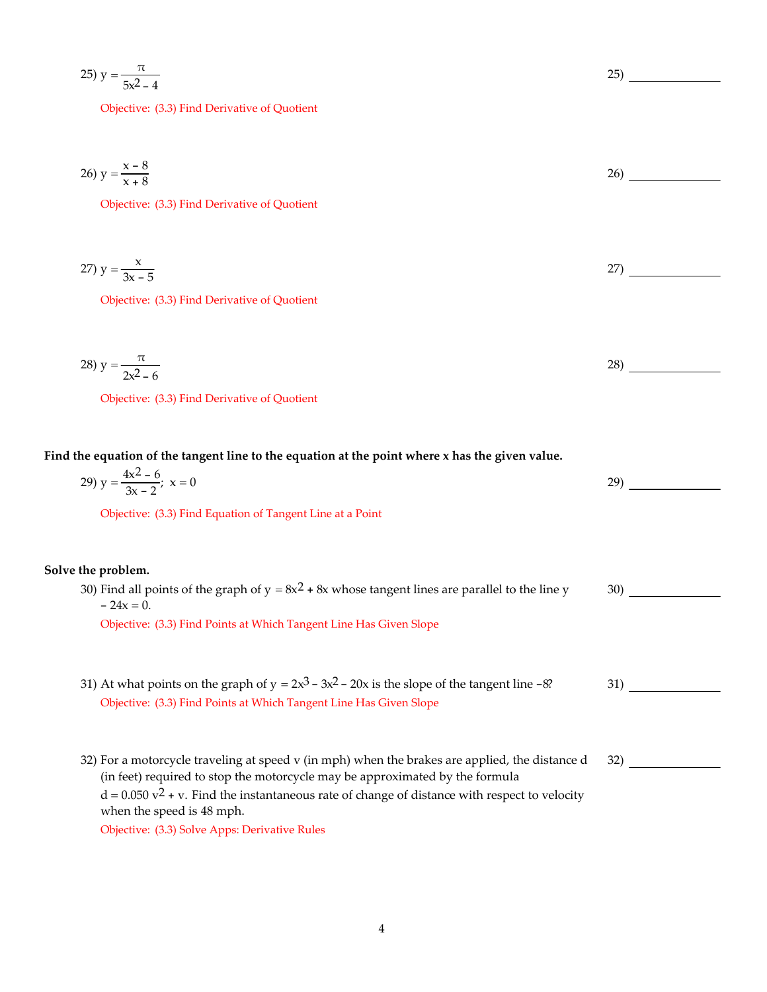25) 
$$
y = \frac{\pi}{5x^2 - 4}
$$

Objective: (3.3) Find Derivative of Quotient

26) 
$$
y = \frac{x - 8}{x + 8}
$$

Objective: (3.3) Find Derivative of Quotient

$$
27) \, \text{y} = \frac{x}{3x - 5} \tag{27}
$$

Objective: (3.3) Find Derivative of Quotient

$$
28) y = \frac{\pi}{2x^2 - 6}
$$
 (28)

Objective: (3.3) Find Derivative of Quotient

## Find the equation of the tangent line to the equation at the point where x has the given value.

| 29) $y = \frac{4x^2 - 6}{3x - 2}$ ; $x = 0$               | 29 |
|-----------------------------------------------------------|----|
| Objective: (3.3) Find Equation of Tangent Line at a Point |    |
|                                                           |    |
| Solve the problem.                                        |    |

30) Find all points of the graph of  $y = 8x^2 + 8x$  whose tangent lines are parallel to the line y  $- 24x = 0.$ 30)

Objective: (3.3) Find Points at Which Tangent Line Has Given Slope

- 31) At what points on the graph of  $y = 2x^3 3x^2 20x$  is the slope of the tangent line -8? 31) Objective: (3.3) Find Points at Which Tangent Line Has Given Slope
- 32) For a motorcycle traveling at speed v (in mph) when the brakes are applied, the distance d (in feet) required to stop the motorcycle may be approximated by the formula  $d = 0.050$  v<sup>2</sup> + v. Find the instantaneous rate of change of distance with respect to velocity when the speed is 48 mph. 32) Objective: (3.3) Solve Apps: Derivative Rules

25)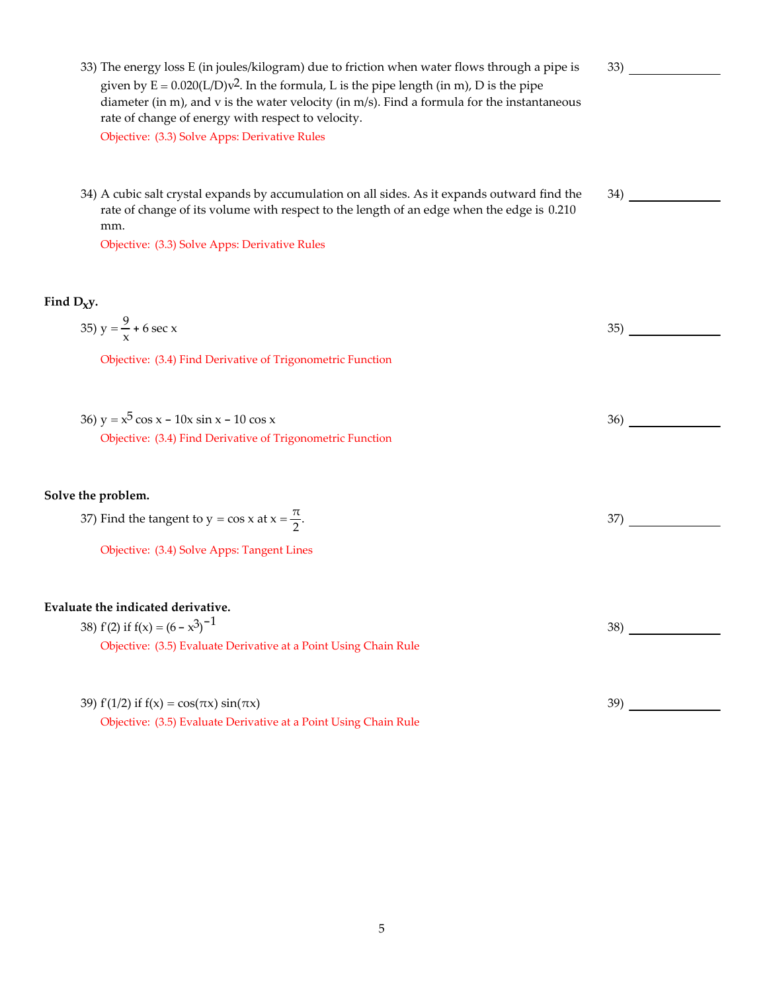33) The energy loss E (in joules/kilogram) due to friction when water flows through a pipe is given by  $E = 0.020(L/D)v^2$ . In the formula, L is the pipe length (in m), D is the pipe diameter (in m), and v is the water velocity (in m/s). Find a formula for the instantaneous rate of change of energy with respect to velocity. 33) Objective: (3.3) Solve Apps: Derivative Rules 34) A cubic salt crystal expands by accumulation on all sides. As it expands outward find the rate of change of its volume with respect to the length of an edge when the edge is 0.210 mm. 34) Objective: (3.3) Solve Apps: Derivative Rules **Find Dxy.** 35)  $y = \frac{9}{x} + 6 \sec x$  $\frac{2}{x}$  + 6 sec x 35) Objective: (3.4) Find Derivative of Trigonometric Function 36)  $y = x^5 \cos x - 10x \sin x - 10 \cos x$  36) Objective: (3.4) Find Derivative of Trigonometric Function **Solve the problem.** 37) Find the tangent to  $y = \cos x$  at  $x = \frac{\pi}{2}$ .  $\frac{1}{2}$ . 37) Objective: (3.4) Solve Apps: Tangent Lines **Evaluate the indicated derivative.** 38) f'(2) if  $f(x) = (6 - x^3)^{-1}$  $-1$  38) Objective: (3.5) Evaluate Derivative at a Point Using Chain Rule

39) fʹ(1/2) if f(x) = cos(πx) sin(πx) 39) Objective: (3.5) Evaluate Derivative at a Point Using Chain Rule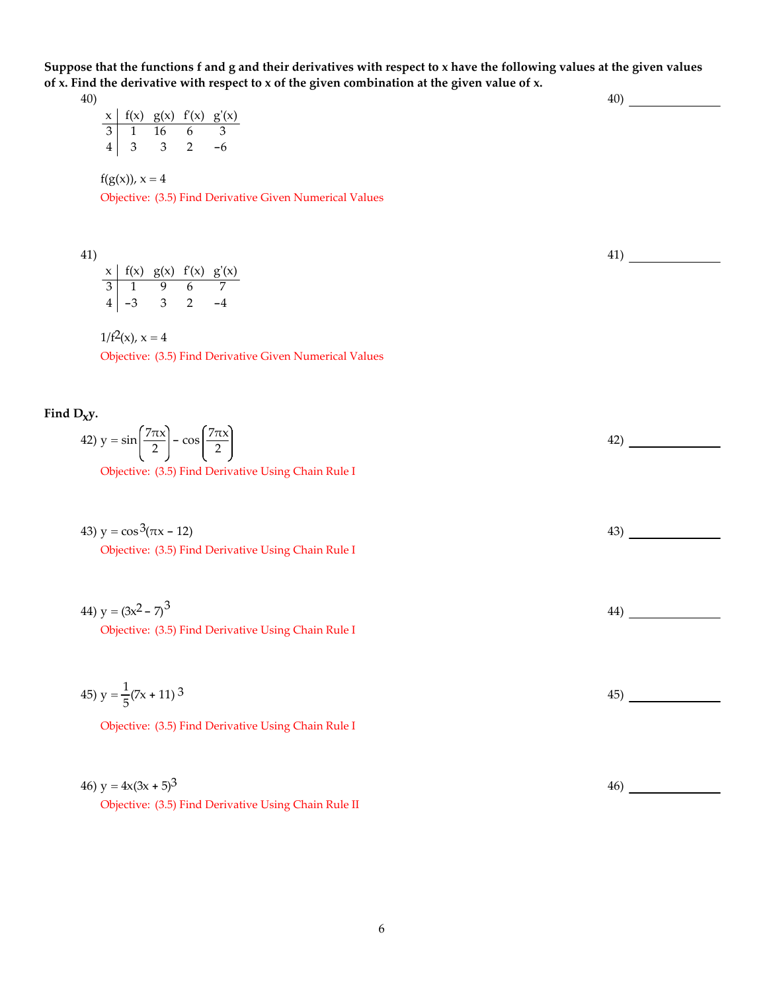Suppose that the functions f and g and their derivatives with respect to x have the following values at the given values of x. Find the derivative with respect to x of the given combination at the given value of x. 40)

40)  $x \mid f(x)$   $g(x)$   $f'(x)$   $g'(x)$ 3 1 16 6 3 43 3 2 -6

 $f(g(x))$ ,  $x = 4$ 

Objective: (3.5) Find Derivative Given Numerical Values

41)

| x   f(x) g(x) f'(x) g'(x) |     |  |
|---------------------------|-----|--|
| $\overline{3}$ 1 9        | 6 7 |  |
| $4 \mid -3$               |     |  |

 $1/f^2(x)$ ,  $x = 4$ 

Objective: (3.5) Find Derivative Given Numerical Values

Find  $D_Xy$ .

| 42) $y = \sin\left(\frac{7\pi x}{2}\right) - \cos\left(\frac{7\pi x}{2}\right)$ |  |  |
|---------------------------------------------------------------------------------|--|--|
|                                                                                 |  |  |

41)

Objective: (3.5) Find Derivative Using Chain Rule I

| 43) $y = \cos^3(\pi x - 12)$                               |  |
|------------------------------------------------------------|--|
| <b>Objective:</b> (3.5) Find Derivative Using Chain Rule I |  |

| 44) $y = (3x^2 - 7)^3$                              | 44 |
|-----------------------------------------------------|----|
| Objective: (3.5) Find Derivative Using Chain Rule I |    |

45) 
$$
y = \frac{1}{5}(7x + 11)^3
$$
 45) \_\_\_\_\_\_\_  
Objective: (3.5) Find Derivative Using Chain Rule I

| 46) $y = 4x(3x + 5)^3$                               | 46) |  |
|------------------------------------------------------|-----|--|
| Objective: (3.5) Find Derivative Using Chain Rule II |     |  |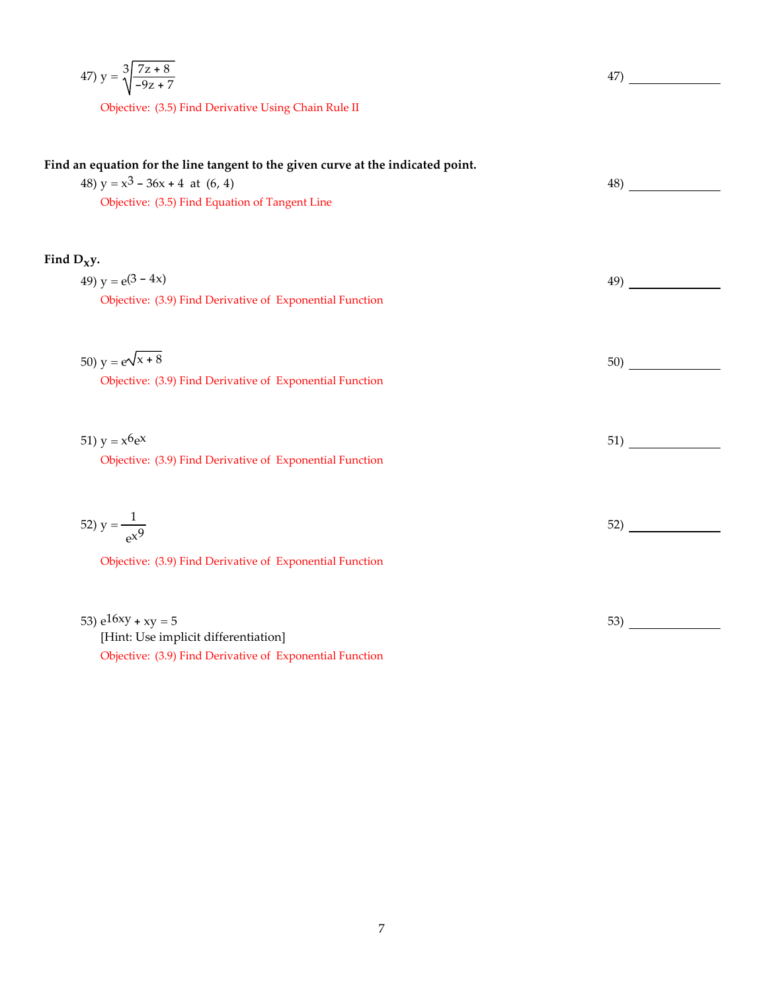47) 
$$
y = \sqrt[3]{\frac{7z+8}{-9z+7}}
$$
47)

Objective: (3.5) Find Derivative Using Chain Rule II

| Find an equation for the line tangent to the given curve at the indicated point.<br>48) $y = x^3 - 36x + 4$ at (6, 4)<br>Objective: (3.5) Find Equation of Tangent Line | 48) |
|-------------------------------------------------------------------------------------------------------------------------------------------------------------------------|-----|
| Find $D_{xy}$ .                                                                                                                                                         |     |
| 49) $y = e(3 - 4x)$<br>Objective: (3.9) Find Derivative of Exponential Function                                                                                         | 49) |
| 50) $y = e^{\sqrt{x} + 8}$<br>Objective: (3.9) Find Derivative of Exponential Function                                                                                  | 50) |
| 51) $y = x^6 e^x$<br>Objective: (3.9) Find Derivative of Exponential Function                                                                                           | 51) |
| 52) $y = \frac{1}{ex^{9}}$<br>Objective: (3.9) Find Derivative of Exponential Function                                                                                  | 52) |
| 53) $e^{16xy} + xy = 5$<br>[Hint: Use implicit differentiation]<br>Objective: (3.9) Find Derivative of Exponential Function                                             | 53) |